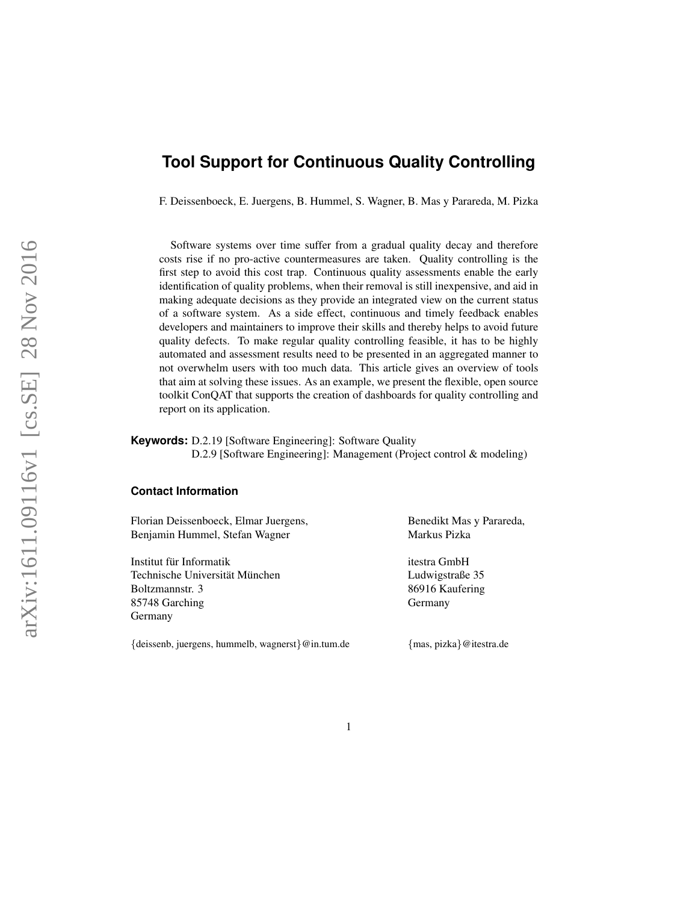# **Tool Support for Continuous Quality Controlling**

F. Deissenboeck, E. Juergens, B. Hummel, S. Wagner, B. Mas y Parareda, M. Pizka

Software systems over time suffer from a gradual quality decay and therefore costs rise if no pro-active countermeasures are taken. Quality controlling is the first step to avoid this cost trap. Continuous quality assessments enable the early identification of quality problems, when their removal is still inexpensive, and aid in making adequate decisions as they provide an integrated view on the current status of a software system. As a side effect, continuous and timely feedback enables developers and maintainers to improve their skills and thereby helps to avoid future quality defects. To make regular quality controlling feasible, it has to be highly automated and assessment results need to be presented in an aggregated manner to not overwhelm users with too much data. This article gives an overview of tools that aim at solving these issues. As an example, we present the flexible, open source toolkit ConQAT that supports the creation of dashboards for quality controlling and report on its application.

#### **Keywords:** D.2.19 [Software Engineering]: Software Quality D.2.9 [Software Engineering]: Management (Project control & modeling)

#### **Contact Information**

Florian Deissenboeck, Elmar Juergens, Benedikt Mas y Parareda, Benjamin Hummel, Stefan Wagner Markus Pizka

Institut für Informatik itestra GmbH Technische Universität München Ludwigstraße 35 Boltzmannstr. 3 86916 Kaufering 85748 Garching Germany Germany

{deissenb, juergens, hummelb, wagnerst}@in.tum.de {mas, pizka}@itestra.de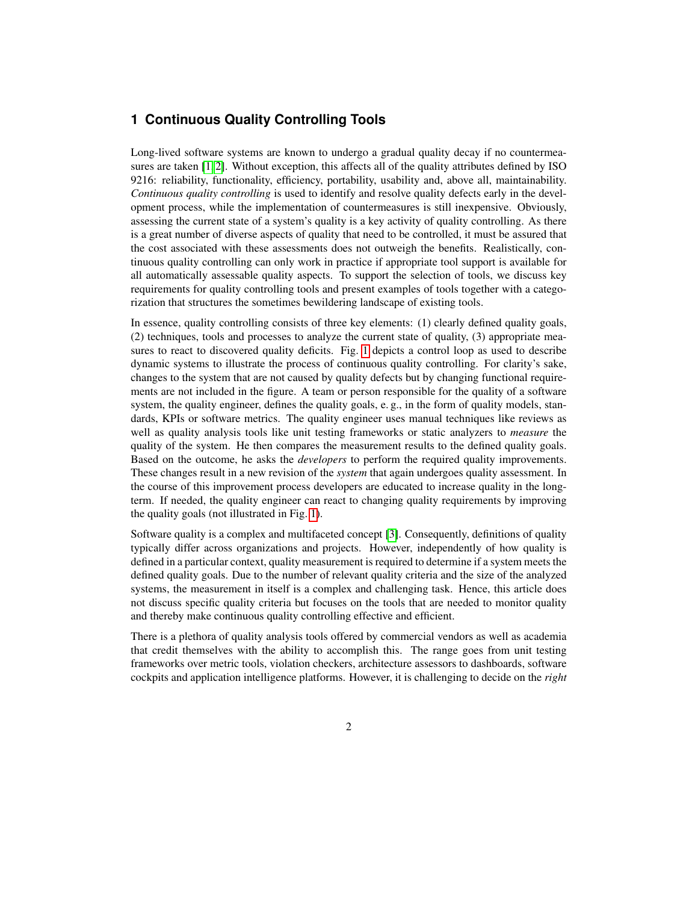#### **1 Continuous Quality Controlling Tools**

Long-lived software systems are known to undergo a gradual quality decay if no countermeasures are taken  $[1, 2]$  $[1, 2]$ . Without exception, this affects all of the quality attributes defined by ISO 9216: reliability, functionality, efficiency, portability, usability and, above all, maintainability. *Continuous quality controlling* is used to identify and resolve quality defects early in the development process, while the implementation of countermeasures is still inexpensive. Obviously, assessing the current state of a system's quality is a key activity of quality controlling. As there is a great number of diverse aspects of quality that need to be controlled, it must be assured that the cost associated with these assessments does not outweigh the benefits. Realistically, continuous quality controlling can only work in practice if appropriate tool support is available for all automatically assessable quality aspects. To support the selection of tools, we discuss key requirements for quality controlling tools and present examples of tools together with a categorization that structures the sometimes bewildering landscape of existing tools.

In essence, quality controlling consists of three key elements: (1) clearly defined quality goals, (2) techniques, tools and processes to analyze the current state of quality, (3) appropriate measures to react to discovered quality deficits. Fig. [1](#page-2-0) depicts a control loop as used to describe dynamic systems to illustrate the process of continuous quality controlling. For clarity's sake, changes to the system that are not caused by quality defects but by changing functional requirements are not included in the figure. A team or person responsible for the quality of a software system, the quality engineer, defines the quality goals, e.g., in the form of quality models, standards, KPIs or software metrics. The quality engineer uses manual techniques like reviews as well as quality analysis tools like unit testing frameworks or static analyzers to *measure* the quality of the system. He then compares the measurement results to the defined quality goals. Based on the outcome, he asks the *developers* to perform the required quality improvements. These changes result in a new revision of the *system* that again undergoes quality assessment. In the course of this improvement process developers are educated to increase quality in the longterm. If needed, the quality engineer can react to changing quality requirements by improving the quality goals (not illustrated in Fig. [1\)](#page-2-0).

Software quality is a complex and multifaceted concept [\[3\]](#page-10-2). Consequently, definitions of quality typically differ across organizations and projects. However, independently of how quality is defined in a particular context, quality measurement is required to determine if a system meets the defined quality goals. Due to the number of relevant quality criteria and the size of the analyzed systems, the measurement in itself is a complex and challenging task. Hence, this article does not discuss specific quality criteria but focuses on the tools that are needed to monitor quality and thereby make continuous quality controlling effective and efficient.

There is a plethora of quality analysis tools offered by commercial vendors as well as academia that credit themselves with the ability to accomplish this. The range goes from unit testing frameworks over metric tools, violation checkers, architecture assessors to dashboards, software cockpits and application intelligence platforms. However, it is challenging to decide on the *right*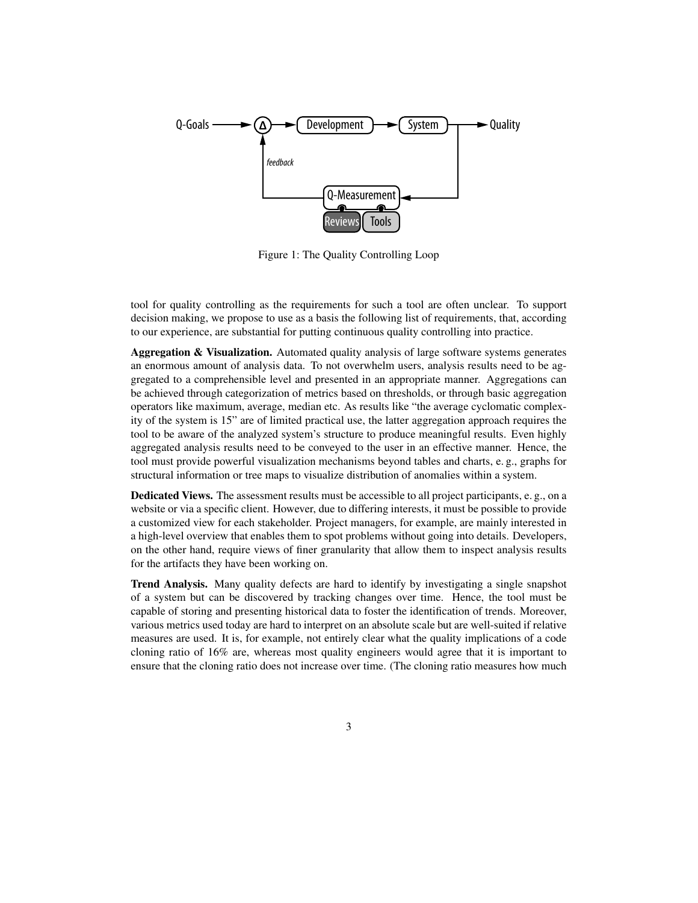

<span id="page-2-0"></span>Figure 1: The Quality Controlling Loop

tool for quality controlling as the requirements for such a tool are often unclear. To support decision making, we propose to use as a basis the following list of requirements, that, according to our experience, are substantial for putting continuous quality controlling into practice.

Aggregation & Visualization. Automated quality analysis of large software systems generates an enormous amount of analysis data. To not overwhelm users, analysis results need to be aggregated to a comprehensible level and presented in an appropriate manner. Aggregations can be achieved through categorization of metrics based on thresholds, or through basic aggregation operators like maximum, average, median etc. As results like "the average cyclomatic complexity of the system is 15" are of limited practical use, the latter aggregation approach requires the tool to be aware of the analyzed system's structure to produce meaningful results. Even highly aggregated analysis results need to be conveyed to the user in an effective manner. Hence, the tool must provide powerful visualization mechanisms beyond tables and charts, e. g., graphs for structural information or tree maps to visualize distribution of anomalies within a system.

Dedicated Views. The assessment results must be accessible to all project participants, e. g., on a website or via a specific client. However, due to differing interests, it must be possible to provide a customized view for each stakeholder. Project managers, for example, are mainly interested in a high-level overview that enables them to spot problems without going into details. Developers, on the other hand, require views of finer granularity that allow them to inspect analysis results for the artifacts they have been working on.

Trend Analysis. Many quality defects are hard to identify by investigating a single snapshot of a system but can be discovered by tracking changes over time. Hence, the tool must be capable of storing and presenting historical data to foster the identification of trends. Moreover, various metrics used today are hard to interpret on an absolute scale but are well-suited if relative measures are used. It is, for example, not entirely clear what the quality implications of a code cloning ratio of 16% are, whereas most quality engineers would agree that it is important to ensure that the cloning ratio does not increase over time. (The cloning ratio measures how much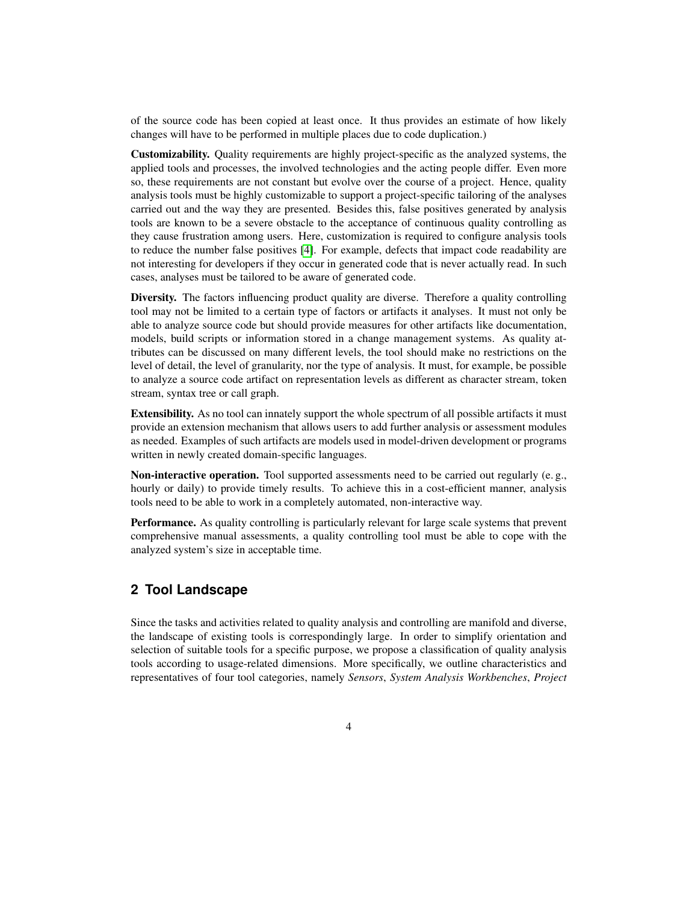of the source code has been copied at least once. It thus provides an estimate of how likely changes will have to be performed in multiple places due to code duplication.)

Customizability. Quality requirements are highly project-specific as the analyzed systems, the applied tools and processes, the involved technologies and the acting people differ. Even more so, these requirements are not constant but evolve over the course of a project. Hence, quality analysis tools must be highly customizable to support a project-specific tailoring of the analyses carried out and the way they are presented. Besides this, false positives generated by analysis tools are known to be a severe obstacle to the acceptance of continuous quality controlling as they cause frustration among users. Here, customization is required to configure analysis tools to reduce the number false positives [\[4\]](#page-10-3). For example, defects that impact code readability are not interesting for developers if they occur in generated code that is never actually read. In such cases, analyses must be tailored to be aware of generated code.

Diversity. The factors influencing product quality are diverse. Therefore a quality controlling tool may not be limited to a certain type of factors or artifacts it analyses. It must not only be able to analyze source code but should provide measures for other artifacts like documentation, models, build scripts or information stored in a change management systems. As quality attributes can be discussed on many different levels, the tool should make no restrictions on the level of detail, the level of granularity, nor the type of analysis. It must, for example, be possible to analyze a source code artifact on representation levels as different as character stream, token stream, syntax tree or call graph.

Extensibility. As no tool can innately support the whole spectrum of all possible artifacts it must provide an extension mechanism that allows users to add further analysis or assessment modules as needed. Examples of such artifacts are models used in model-driven development or programs written in newly created domain-specific languages.

Non-interactive operation. Tool supported assessments need to be carried out regularly (e. g., hourly or daily) to provide timely results. To achieve this in a cost-efficient manner, analysis tools need to be able to work in a completely automated, non-interactive way.

Performance. As quality controlling is particularly relevant for large scale systems that prevent comprehensive manual assessments, a quality controlling tool must be able to cope with the analyzed system's size in acceptable time.

### **2 Tool Landscape**

Since the tasks and activities related to quality analysis and controlling are manifold and diverse, the landscape of existing tools is correspondingly large. In order to simplify orientation and selection of suitable tools for a specific purpose, we propose a classification of quality analysis tools according to usage-related dimensions. More specifically, we outline characteristics and representatives of four tool categories, namely *Sensors*, *System Analysis Workbenches*, *Project*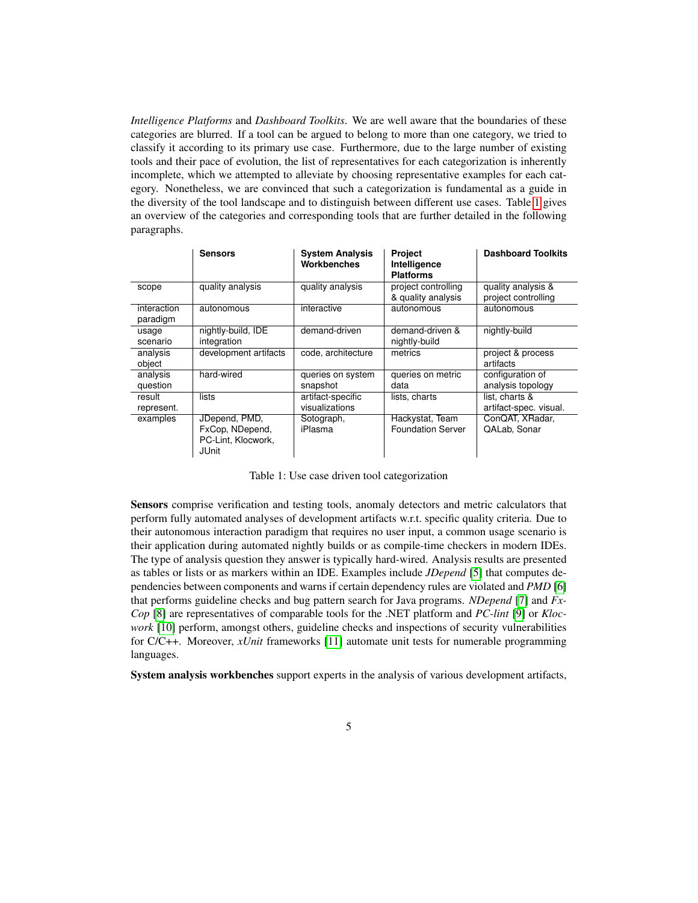*Intelligence Platforms* and *Dashboard Toolkits*. We are well aware that the boundaries of these categories are blurred. If a tool can be argued to belong to more than one category, we tried to classify it according to its primary use case. Furthermore, due to the large number of existing tools and their pace of evolution, the list of representatives for each categorization is inherently incomplete, which we attempted to alleviate by choosing representative examples for each category. Nonetheless, we are convinced that such a categorization is fundamental as a guide in the diversity of the tool landscape and to distinguish between different use cases. Table [1](#page-4-0) gives an overview of the categories and corresponding tools that are further detailed in the following paragraphs.

|                         | <b>Sensors</b>                                                         | <b>System Analysis</b><br>Workbenches | <b>Project</b><br>Intelligence<br><b>Platforms</b> | <b>Dashboard Toolkits</b>                 |
|-------------------------|------------------------------------------------------------------------|---------------------------------------|----------------------------------------------------|-------------------------------------------|
| scope                   | quality analysis                                                       | quality analysis                      | project controlling<br>& quality analysis          | quality analysis &<br>project controlling |
| interaction<br>paradigm | autonomous                                                             | interactive                           | autonomous                                         | autonomous                                |
| usage<br>scenario       | nightly-build, IDE<br>integration                                      | demand-driven                         | demand-driven &<br>nightly-build                   | nightly-build                             |
| analysis<br>object      | development artifacts                                                  | code, architecture                    | metrics                                            | project & process<br>artifacts            |
| analysis<br>question    | hard-wired                                                             | queries on system<br>snapshot         | queries on metric<br>data                          | configuration of<br>analysis topology     |
| result<br>represent.    | lists                                                                  | artifact-specific<br>visualizations   | lists, charts                                      | list, charts &<br>artifact-spec. visual.  |
| examples                | JDepend, PMD,<br>FxCop, NDepend,<br>PC-Lint, Klocwork,<br><b>JUnit</b> | Sotograph,<br>iPlasma                 | Hackystat, Team<br><b>Foundation Server</b>        | ConQAT, XRadar,<br>QALab, Sonar           |

<span id="page-4-0"></span>Table 1: Use case driven tool categorization

Sensors comprise verification and testing tools, anomaly detectors and metric calculators that perform fully automated analyses of development artifacts w.r.t. specific quality criteria. Due to their autonomous interaction paradigm that requires no user input, a common usage scenario is their application during automated nightly builds or as compile-time checkers in modern IDEs. The type of analysis question they answer is typically hard-wired. Analysis results are presented as tables or lists or as markers within an IDE. Examples include *JDepend* [\[5\]](#page-10-4) that computes dependencies between components and warns if certain dependency rules are violated and *PMD* [\[6\]](#page-10-5) that performs guideline checks and bug pattern search for Java programs. *NDepend* [\[7\]](#page-10-6) and *Fx-Cop* [\[8\]](#page-10-7) are representatives of comparable tools for the .NET platform and *PC-lint* [\[9\]](#page-10-8) or *Klocwork* [\[10\]](#page-10-9) perform, amongst others, guideline checks and inspections of security vulnerabilities for C/C++. Moreover, *xUnit* frameworks [\[11\]](#page-10-10) automate unit tests for numerable programming languages.

System analysis workbenches support experts in the analysis of various development artifacts,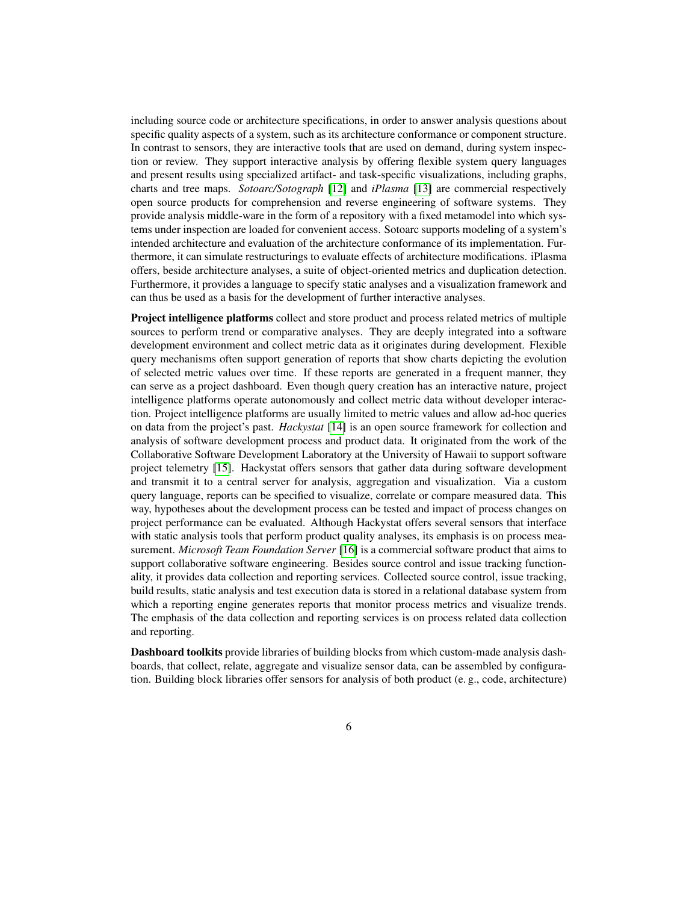including source code or architecture specifications, in order to answer analysis questions about specific quality aspects of a system, such as its architecture conformance or component structure. In contrast to sensors, they are interactive tools that are used on demand, during system inspection or review. They support interactive analysis by offering flexible system query languages and present results using specialized artifact- and task-specific visualizations, including graphs, charts and tree maps. *Sotoarc/Sotograph* [\[12\]](#page-10-11) and *iPlasma* [\[13\]](#page-10-12) are commercial respectively open source products for comprehension and reverse engineering of software systems. They provide analysis middle-ware in the form of a repository with a fixed metamodel into which systems under inspection are loaded for convenient access. Sotoarc supports modeling of a system's intended architecture and evaluation of the architecture conformance of its implementation. Furthermore, it can simulate restructurings to evaluate effects of architecture modifications. iPlasma offers, beside architecture analyses, a suite of object-oriented metrics and duplication detection. Furthermore, it provides a language to specify static analyses and a visualization framework and can thus be used as a basis for the development of further interactive analyses.

Project intelligence platforms collect and store product and process related metrics of multiple sources to perform trend or comparative analyses. They are deeply integrated into a software development environment and collect metric data as it originates during development. Flexible query mechanisms often support generation of reports that show charts depicting the evolution of selected metric values over time. If these reports are generated in a frequent manner, they can serve as a project dashboard. Even though query creation has an interactive nature, project intelligence platforms operate autonomously and collect metric data without developer interaction. Project intelligence platforms are usually limited to metric values and allow ad-hoc queries on data from the project's past. *Hackystat* [\[14\]](#page-10-13) is an open source framework for collection and analysis of software development process and product data. It originated from the work of the Collaborative Software Development Laboratory at the University of Hawaii to support software project telemetry [\[15\]](#page-10-14). Hackystat offers sensors that gather data during software development and transmit it to a central server for analysis, aggregation and visualization. Via a custom query language, reports can be specified to visualize, correlate or compare measured data. This way, hypotheses about the development process can be tested and impact of process changes on project performance can be evaluated. Although Hackystat offers several sensors that interface with static analysis tools that perform product quality analyses, its emphasis is on process measurement. *Microsoft Team Foundation Server* [\[16\]](#page-10-15) is a commercial software product that aims to support collaborative software engineering. Besides source control and issue tracking functionality, it provides data collection and reporting services. Collected source control, issue tracking, build results, static analysis and test execution data is stored in a relational database system from which a reporting engine generates reports that monitor process metrics and visualize trends. The emphasis of the data collection and reporting services is on process related data collection and reporting.

Dashboard toolkits provide libraries of building blocks from which custom-made analysis dashboards, that collect, relate, aggregate and visualize sensor data, can be assembled by configuration. Building block libraries offer sensors for analysis of both product (e. g., code, architecture)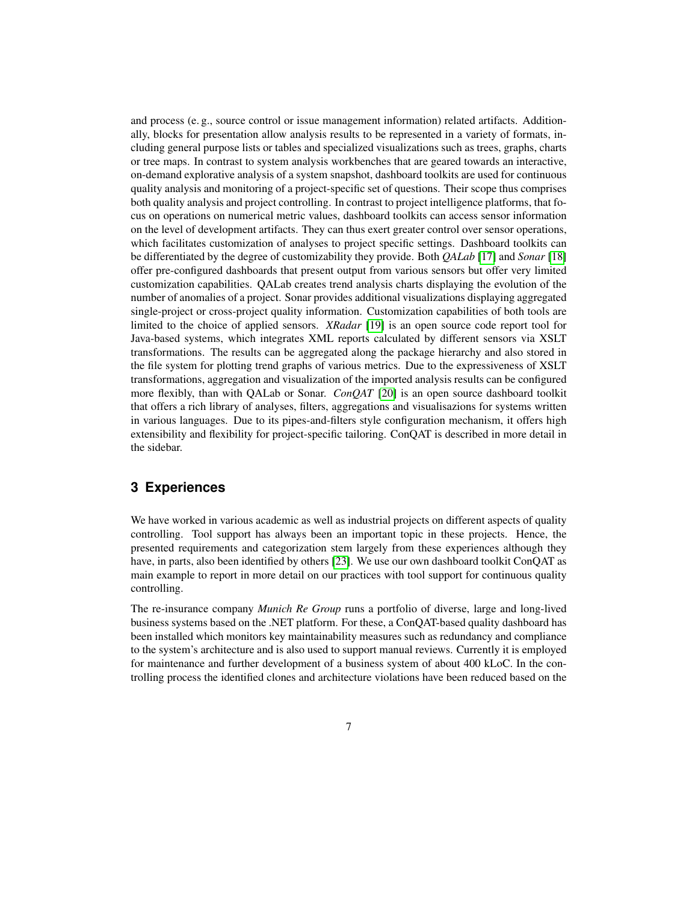and process (e. g., source control or issue management information) related artifacts. Additionally, blocks for presentation allow analysis results to be represented in a variety of formats, including general purpose lists or tables and specialized visualizations such as trees, graphs, charts or tree maps. In contrast to system analysis workbenches that are geared towards an interactive, on-demand explorative analysis of a system snapshot, dashboard toolkits are used for continuous quality analysis and monitoring of a project-specific set of questions. Their scope thus comprises both quality analysis and project controlling. In contrast to project intelligence platforms, that focus on operations on numerical metric values, dashboard toolkits can access sensor information on the level of development artifacts. They can thus exert greater control over sensor operations, which facilitates customization of analyses to project specific settings. Dashboard toolkits can be differentiated by the degree of customizability they provide. Both *QALab* [\[17\]](#page-10-16) and *Sonar* [\[18\]](#page-10-17) offer pre-configured dashboards that present output from various sensors but offer very limited customization capabilities. QALab creates trend analysis charts displaying the evolution of the number of anomalies of a project. Sonar provides additional visualizations displaying aggregated single-project or cross-project quality information. Customization capabilities of both tools are limited to the choice of applied sensors. *XRadar* [\[19\]](#page-11-0) is an open source code report tool for Java-based systems, which integrates XML reports calculated by different sensors via XSLT transformations. The results can be aggregated along the package hierarchy and also stored in the file system for plotting trend graphs of various metrics. Due to the expressiveness of XSLT transformations, aggregation and visualization of the imported analysis results can be configured more flexibly, than with QALab or Sonar. *ConQAT* [\[20\]](#page-11-1) is an open source dashboard toolkit that offers a rich library of analyses, filters, aggregations and visualisazions for systems written in various languages. Due to its pipes-and-filters style configuration mechanism, it offers high extensibility and flexibility for project-specific tailoring. ConQAT is described in more detail in the sidebar.

#### **3 Experiences**

We have worked in various academic as well as industrial projects on different aspects of quality controlling. Tool support has always been an important topic in these projects. Hence, the presented requirements and categorization stem largely from these experiences although they have, in parts, also been identified by others [\[23\]](#page-11-2). We use our own dashboard toolkit ConQAT as main example to report in more detail on our practices with tool support for continuous quality controlling.

The re-insurance company *Munich Re Group* runs a portfolio of diverse, large and long-lived business systems based on the .NET platform. For these, a ConQAT-based quality dashboard has been installed which monitors key maintainability measures such as redundancy and compliance to the system's architecture and is also used to support manual reviews. Currently it is employed for maintenance and further development of a business system of about 400 kLoC. In the controlling process the identified clones and architecture violations have been reduced based on the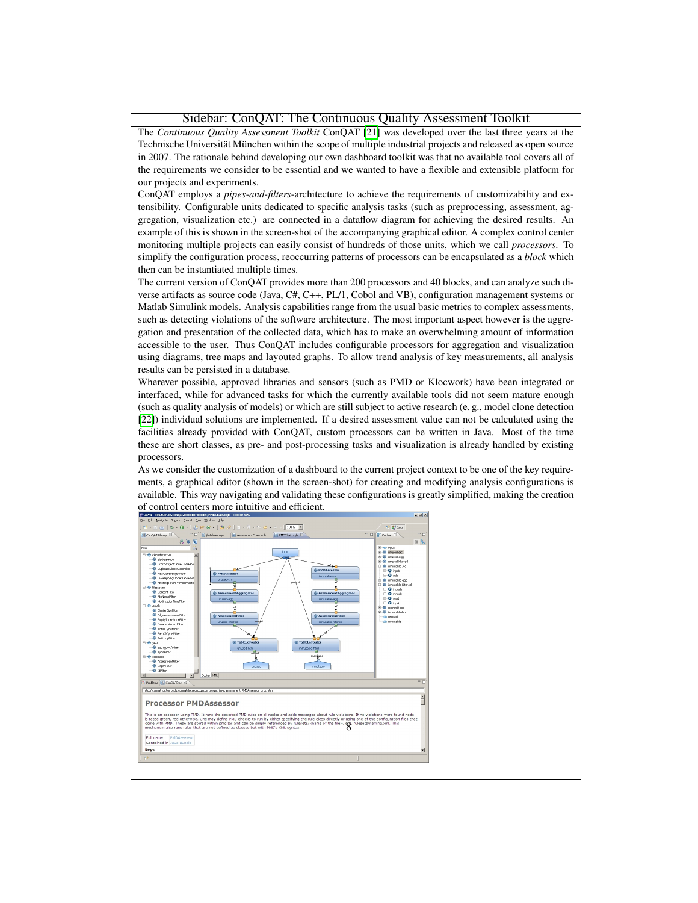#### Sidebar: ConQAT: The Continuous Quality Assessment Toolkit

The *Continuous Quality Assessment Toolkit* ConQAT [\[21\]](#page-11-3) was developed over the last three years at the Technische Universität München within the scope of multiple industrial projects and released as open source in 2007. The rationale behind developing our own dashboard toolkit was that no available tool covers all of the requirements we consider to be essential and we wanted to have a flexible and extensible platform for our projects and experiments.

ConQAT employs a *pipes-and-filters*-architecture to achieve the requirements of customizability and extensibility. Configurable units dedicated to specific analysis tasks (such as preprocessing, assessment, aggregation, visualization etc.) are connected in a dataflow diagram for achieving the desired results. An example of this is shown in the screen-shot of the accompanying graphical editor. A complex control center monitoring multiple projects can easily consist of hundreds of those units, which we call *processors*. To simplify the configuration process, reoccurring patterns of processors can be encapsulated as a *block* which then can be instantiated multiple times.

The current version of ConQAT provides more than 200 processors and 40 blocks, and can analyze such diverse artifacts as source code (Java, C#, C++, PL/1, Cobol and VB), configuration management systems or Matlab Simulink models. Analysis capabilities range from the usual basic metrics to complex assessments, such as detecting violations of the software architecture. The most important aspect however is the aggregation and presentation of the collected data, which has to make an overwhelming amount of information accessible to the user. Thus ConQAT includes configurable processors for aggregation and visualization using diagrams, tree maps and layouted graphs. To allow trend analysis of key measurements, all analysis results can be persisted in a database.

Wherever possible, approved libraries and sensors (such as PMD or Klocwork) have been integrated or interfaced, while for advanced tasks for which the currently available tools did not seem mature enough (such as quality analysis of models) or which are still subject to active research (e. g., model clone detection [\[22\]](#page-11-4)) individual solutions are implemented. If a desired assessment value can not be calculated using the facilities already provided with ConQAT, custom processors can be written in Java. Most of the time these are short classes, as pre- and post-processing tasks and visualization is already handled by existing processors.

As we consider the customization of a dashboard to the current project context to be one of the key requirements, a graphical editor (shown in the screen-shot) for creating and modifying analysis configurations is available. This way navigating and validating these configurations is greatly simplified, making the creation of control centers more intuitive and efficient.

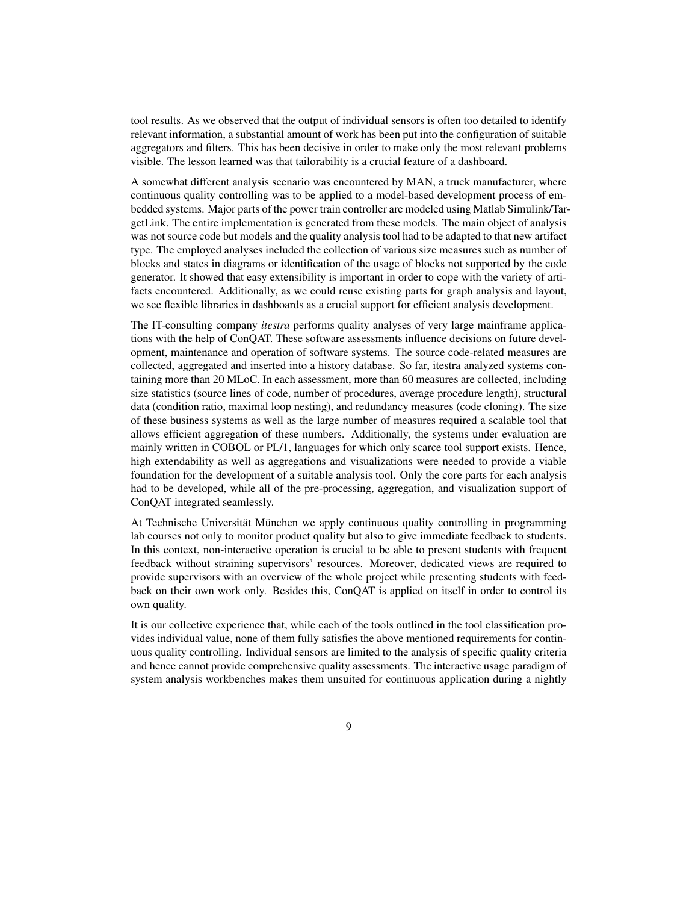tool results. As we observed that the output of individual sensors is often too detailed to identify relevant information, a substantial amount of work has been put into the configuration of suitable aggregators and filters. This has been decisive in order to make only the most relevant problems visible. The lesson learned was that tailorability is a crucial feature of a dashboard.

A somewhat different analysis scenario was encountered by MAN, a truck manufacturer, where continuous quality controlling was to be applied to a model-based development process of embedded systems. Major parts of the power train controller are modeled using Matlab Simulink/TargetLink. The entire implementation is generated from these models. The main object of analysis was not source code but models and the quality analysis tool had to be adapted to that new artifact type. The employed analyses included the collection of various size measures such as number of blocks and states in diagrams or identification of the usage of blocks not supported by the code generator. It showed that easy extensibility is important in order to cope with the variety of artifacts encountered. Additionally, as we could reuse existing parts for graph analysis and layout, we see flexible libraries in dashboards as a crucial support for efficient analysis development.

The IT-consulting company *itestra* performs quality analyses of very large mainframe applications with the help of ConQAT. These software assessments influence decisions on future development, maintenance and operation of software systems. The source code-related measures are collected, aggregated and inserted into a history database. So far, itestra analyzed systems containing more than 20 MLoC. In each assessment, more than 60 measures are collected, including size statistics (source lines of code, number of procedures, average procedure length), structural data (condition ratio, maximal loop nesting), and redundancy measures (code cloning). The size of these business systems as well as the large number of measures required a scalable tool that allows efficient aggregation of these numbers. Additionally, the systems under evaluation are mainly written in COBOL or PL/1, languages for which only scarce tool support exists. Hence, high extendability as well as aggregations and visualizations were needed to provide a viable foundation for the development of a suitable analysis tool. Only the core parts for each analysis had to be developed, while all of the pre-processing, aggregation, and visualization support of ConQAT integrated seamlessly.

At Technische Universität München we apply continuous quality controlling in programming lab courses not only to monitor product quality but also to give immediate feedback to students. In this context, non-interactive operation is crucial to be able to present students with frequent feedback without straining supervisors' resources. Moreover, dedicated views are required to provide supervisors with an overview of the whole project while presenting students with feedback on their own work only. Besides this, ConQAT is applied on itself in order to control its own quality.

It is our collective experience that, while each of the tools outlined in the tool classification provides individual value, none of them fully satisfies the above mentioned requirements for continuous quality controlling. Individual sensors are limited to the analysis of specific quality criteria and hence cannot provide comprehensive quality assessments. The interactive usage paradigm of system analysis workbenches makes them unsuited for continuous application during a nightly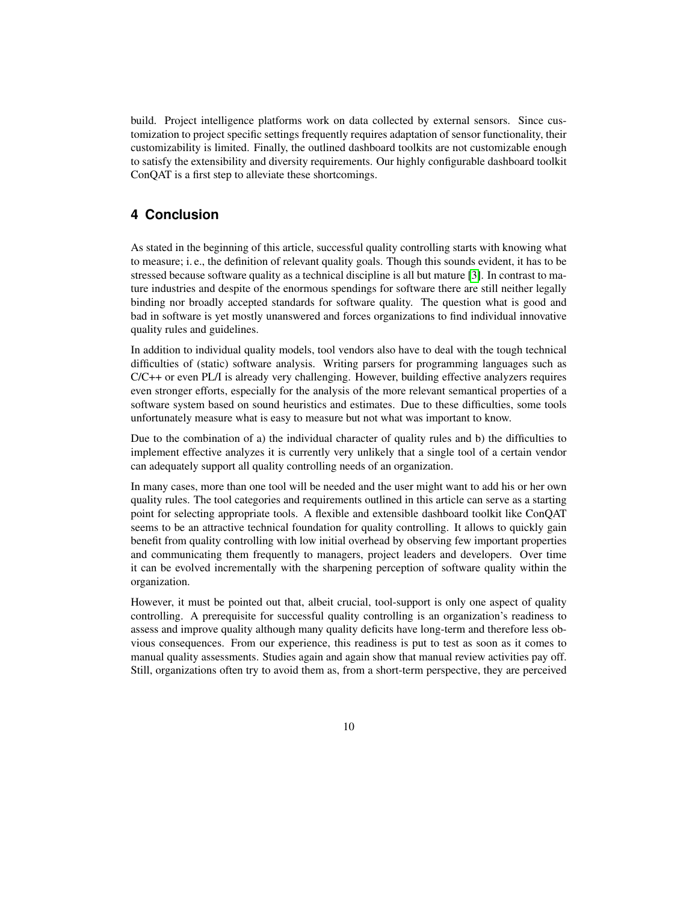build. Project intelligence platforms work on data collected by external sensors. Since customization to project specific settings frequently requires adaptation of sensor functionality, their customizability is limited. Finally, the outlined dashboard toolkits are not customizable enough to satisfy the extensibility and diversity requirements. Our highly configurable dashboard toolkit ConQAT is a first step to alleviate these shortcomings.

## **4 Conclusion**

As stated in the beginning of this article, successful quality controlling starts with knowing what to measure; i. e., the definition of relevant quality goals. Though this sounds evident, it has to be stressed because software quality as a technical discipline is all but mature [\[3\]](#page-10-2). In contrast to mature industries and despite of the enormous spendings for software there are still neither legally binding nor broadly accepted standards for software quality. The question what is good and bad in software is yet mostly unanswered and forces organizations to find individual innovative quality rules and guidelines.

In addition to individual quality models, tool vendors also have to deal with the tough technical difficulties of (static) software analysis. Writing parsers for programming languages such as C/C++ or even PL/I is already very challenging. However, building effective analyzers requires even stronger efforts, especially for the analysis of the more relevant semantical properties of a software system based on sound heuristics and estimates. Due to these difficulties, some tools unfortunately measure what is easy to measure but not what was important to know.

Due to the combination of a) the individual character of quality rules and b) the difficulties to implement effective analyzes it is currently very unlikely that a single tool of a certain vendor can adequately support all quality controlling needs of an organization.

In many cases, more than one tool will be needed and the user might want to add his or her own quality rules. The tool categories and requirements outlined in this article can serve as a starting point for selecting appropriate tools. A flexible and extensible dashboard toolkit like ConQAT seems to be an attractive technical foundation for quality controlling. It allows to quickly gain benefit from quality controlling with low initial overhead by observing few important properties and communicating them frequently to managers, project leaders and developers. Over time it can be evolved incrementally with the sharpening perception of software quality within the organization.

However, it must be pointed out that, albeit crucial, tool-support is only one aspect of quality controlling. A prerequisite for successful quality controlling is an organization's readiness to assess and improve quality although many quality deficits have long-term and therefore less obvious consequences. From our experience, this readiness is put to test as soon as it comes to manual quality assessments. Studies again and again show that manual review activities pay off. Still, organizations often try to avoid them as, from a short-term perspective, they are perceived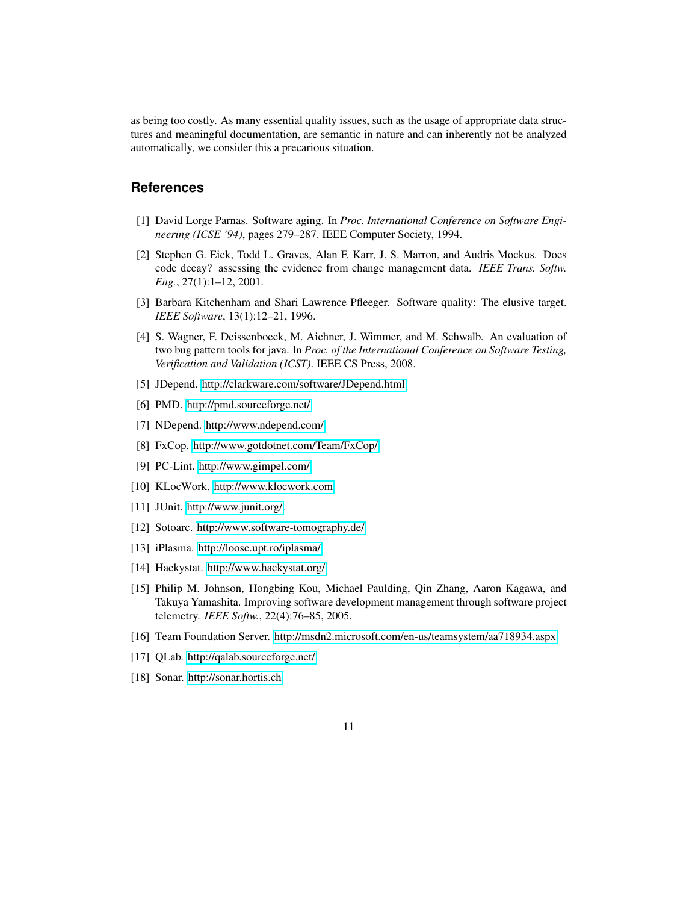as being too costly. As many essential quality issues, such as the usage of appropriate data structures and meaningful documentation, are semantic in nature and can inherently not be analyzed automatically, we consider this a precarious situation.

## **References**

- <span id="page-10-0"></span>[1] David Lorge Parnas. Software aging. In *Proc. International Conference on Software Engineering (ICSE '94)*, pages 279–287. IEEE Computer Society, 1994.
- <span id="page-10-1"></span>[2] Stephen G. Eick, Todd L. Graves, Alan F. Karr, J. S. Marron, and Audris Mockus. Does code decay? assessing the evidence from change management data. *IEEE Trans. Softw. Eng.*, 27(1):1–12, 2001.
- <span id="page-10-2"></span>[3] Barbara Kitchenham and Shari Lawrence Pfleeger. Software quality: The elusive target. *IEEE Software*, 13(1):12–21, 1996.
- <span id="page-10-3"></span>[4] S. Wagner, F. Deissenboeck, M. Aichner, J. Wimmer, and M. Schwalb. An evaluation of two bug pattern tools for java. In *Proc. of the International Conference on Software Testing, Verification and Validation (ICST)*. IEEE CS Press, 2008.
- <span id="page-10-5"></span><span id="page-10-4"></span>[5] JDepend. [http://clarkware.com/software/JDepend.html.](http://clarkware.com/software/JDepend.html)
- <span id="page-10-6"></span>[6] PMD. [http://pmd.sourceforge.net/.](http://pmd.sourceforge.net/)
- [7] NDepend. [http://www.ndepend.com/.](http://www.ndepend.com/)
- <span id="page-10-7"></span>[8] FxCop. [http://www.gotdotnet.com/Team/FxCop/.](http://www.gotdotnet.com/Team/FxCop/)
- <span id="page-10-8"></span>[9] PC-Lint. [http://www.gimpel.com/.](http://www.gimpel.com/)
- <span id="page-10-9"></span>[10] KLocWork. [http://www.klocwork.com.](http://www.klocwork.com)
- <span id="page-10-10"></span>[11] JUnit. [http://www.junit.org/.](http://www.junit.org/)
- <span id="page-10-11"></span>[12] Sotoarc. [http://www.software-tomography.de/.](http://www.software-tomography.de/)
- <span id="page-10-12"></span>[13] iPlasma. [http://loose.upt.ro/iplasma/.](http://loose.upt.ro/iplasma/)
- <span id="page-10-13"></span>[14] Hackystat. [http://www.hackystat.org/.](http://www.hackystat.org/)
- <span id="page-10-14"></span>[15] Philip M. Johnson, Hongbing Kou, Michael Paulding, Qin Zhang, Aaron Kagawa, and Takuya Yamashita. Improving software development management through software project telemetry. *IEEE Softw.*, 22(4):76–85, 2005.
- <span id="page-10-15"></span>[16] Team Foundation Server. [http://msdn2.microsoft.com/en-us/teamsystem/aa718934.aspx.](http://msdn2.microsoft.com/en-us/teamsystem/aa718934.aspx)
- <span id="page-10-16"></span>[17] QLab. [http://qalab.sourceforge.net/.](http://qalab.sourceforge.net/)
- <span id="page-10-17"></span>[18] Sonar. [http://sonar.hortis.ch.](http://sonar.hortis.ch)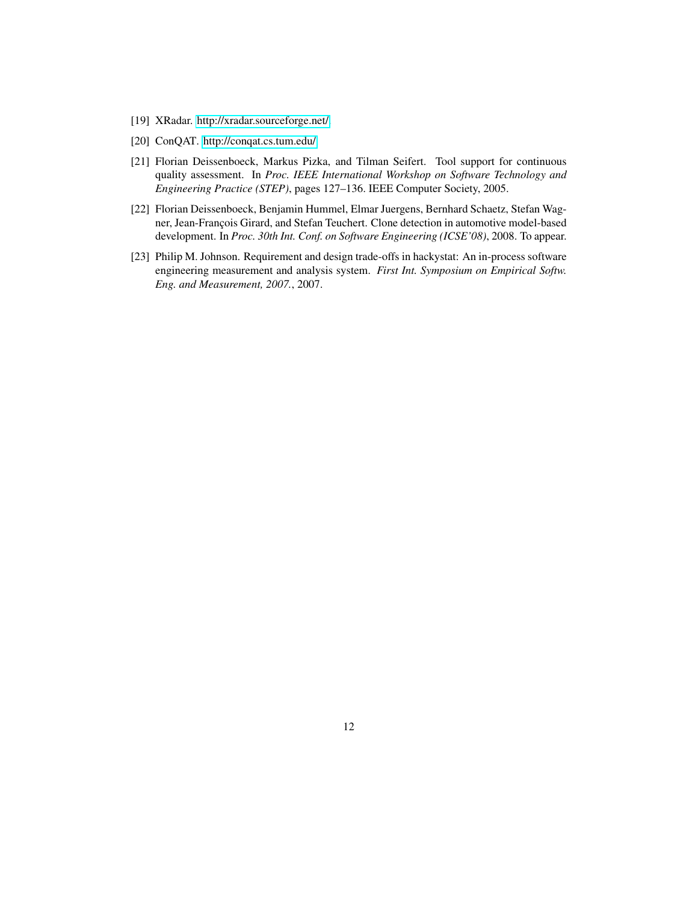- <span id="page-11-0"></span>[19] XRadar. [http://xradar.sourceforge.net/.](http://xradar.sourceforge.net/)
- <span id="page-11-1"></span>[20] ConQAT. [http://conqat.cs.tum.edu/.](http://conqat.cs.tum.edu/)
- <span id="page-11-3"></span>[21] Florian Deissenboeck, Markus Pizka, and Tilman Seifert. Tool support for continuous quality assessment. In *Proc. IEEE International Workshop on Software Technology and Engineering Practice (STEP)*, pages 127–136. IEEE Computer Society, 2005.
- <span id="page-11-4"></span>[22] Florian Deissenboeck, Benjamin Hummel, Elmar Juergens, Bernhard Schaetz, Stefan Wagner, Jean-François Girard, and Stefan Teuchert. Clone detection in automotive model-based development. In *Proc. 30th Int. Conf. on Software Engineering (ICSE'08)*, 2008. To appear.
- <span id="page-11-2"></span>[23] Philip M. Johnson. Requirement and design trade-offs in hackystat: An in-process software engineering measurement and analysis system. *First Int. Symposium on Empirical Softw. Eng. and Measurement, 2007.*, 2007.